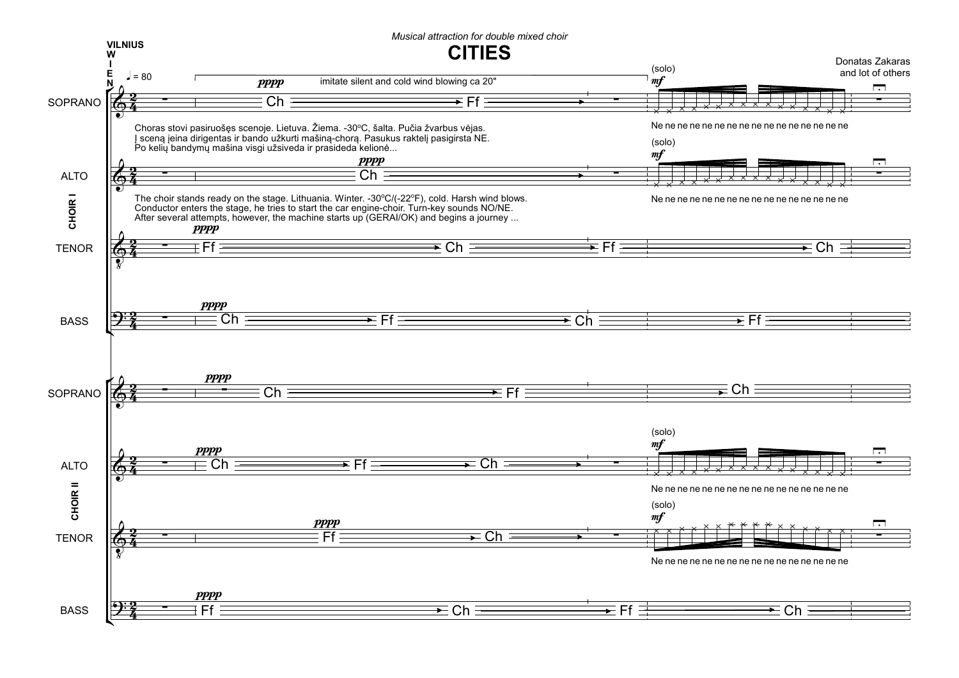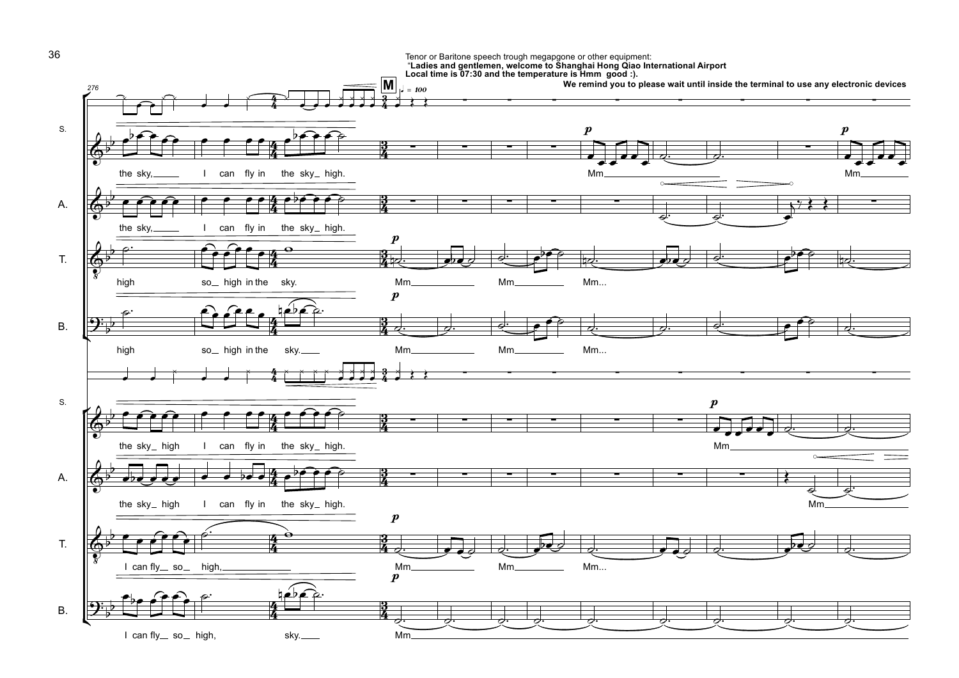